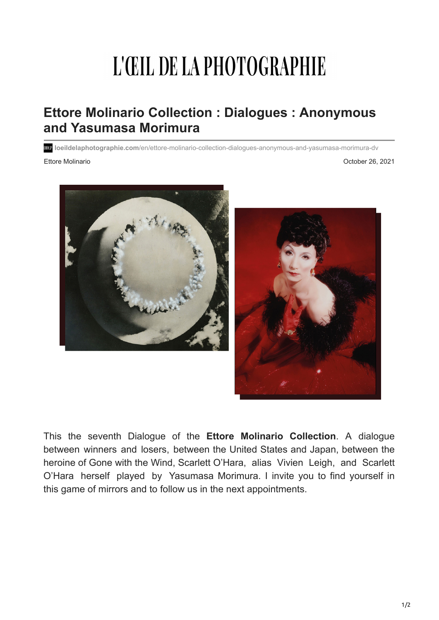## L'ŒIL DE LA PHOTOGRAPHIE

## **Ettore Molinario Collection : Dialogues : Anonymous [and Yasumasa Morimura](https://loeildelaphotographie.com/en/ettore-molinario-collection-dialogues-anonymous-and-yasumasa-morimura-dv/?ct=t(Newsletter+EN+10262021))**

**loeildelaphotographie.com**/en/ettore-molinario-collection-dialogues-anonymous-and-yasumasa-morimura-dv

Ettore Molinario October 26, 2021



This the seventh Dialogue of the **Ettore Molinario Collection**. A dialogue between winners and losers, between the United States and Japan, between the heroine of Gone with the Wind, Scarlett O'Hara, alias Vivien Leigh, and Scarlett O'Hara herself played by Yasumasa Morimura. I invite you to find yourself in this game of mirrors and to follow us in the next appointments.